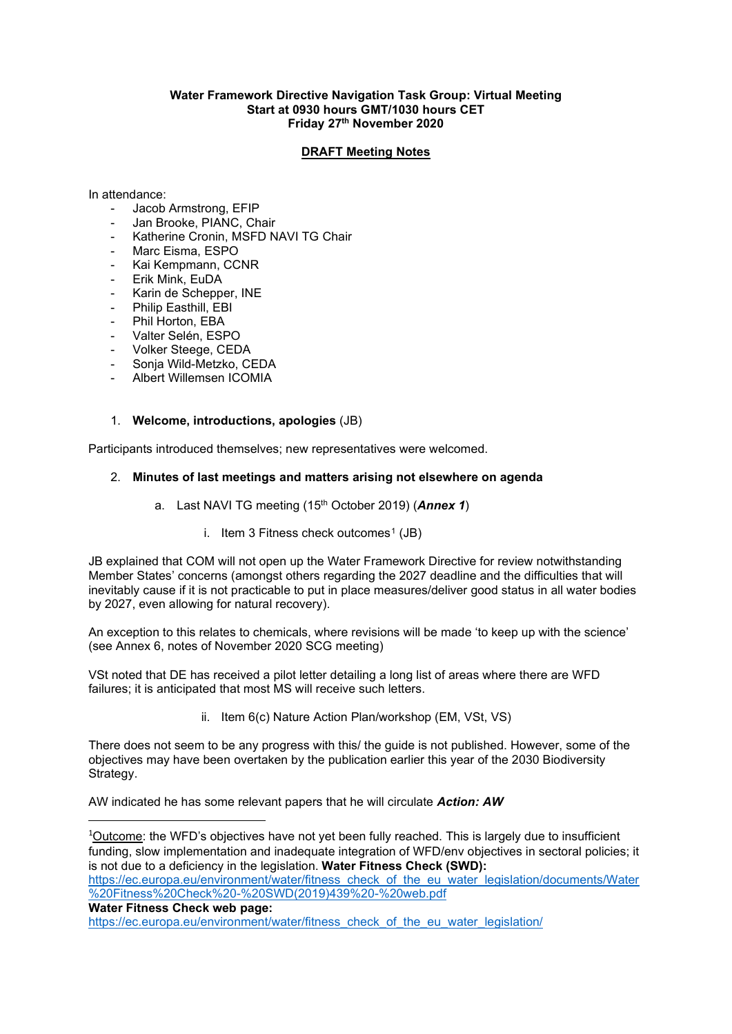#### **Water Framework Directive Navigation Task Group: Virtual Meeting Start at 0930 hours GMT/1030 hours CET Friday 27th November 2020**

### **DRAFT Meeting Notes**

In attendance:

- Jacob Armstrong, EFIP
- Jan Brooke, PIANC, Chair
- Katherine Cronin, MSFD NAVI TG Chair
- Marc Eisma, ESPO
- Kai Kempmann, CCNR
- Erik Mink, EuDA
- Karin de Schepper, INE
- Philip Easthill, EBI
- Phil Horton, EBA
- Valter Selén, ESPO
- Volker Steege, CEDA
- Sonja Wild-Metzko, CEDA
- Albert Willemsen ICOMIA

#### 1. **Welcome, introductions, apologies** (JB)

Participants introduced themselves; new representatives were welcomed.

# 2. **Minutes of last meetings and matters arising not elsewhere on agenda**

- a. Last NAVI TG meeting (15th October 2019) (*Annex 1*)
	- i. Item 3 Fitness check outcomes<sup>[1](#page-0-0)</sup> (JB)

JB explained that COM will not open up the Water Framework Directive for review notwithstanding Member States' concerns (amongst others regarding the 2027 deadline and the difficulties that will inevitably cause if it is not practicable to put in place measures/deliver good status in all water bodies by 2027, even allowing for natural recovery).

An exception to this relates to chemicals, where revisions will be made 'to keep up with the science' (see Annex 6, notes of November 2020 SCG meeting)

VSt noted that DE has received a pilot letter detailing a long list of areas where there are WFD failures; it is anticipated that most MS will receive such letters.

ii. Item 6(c) Nature Action Plan/workshop (EM, VSt, VS)

There does not seem to be any progress with this/ the guide is not published. However, some of the objectives may have been overtaken by the publication earlier this year of the 2030 Biodiversity Strategy.

AW indicated he has some relevant papers that he will circulate *Action: AW*

<span id="page-0-0"></span><sup>1</sup>Outcome: the WFD's objectives have not yet been fully reached. This is largely due to insufficient funding, slow implementation and inadequate integration of WFD/env objectives in sectoral policies; it is not due to a deficiency in the legislation. **Water Fitness Check (SWD):** [https://ec.europa.eu/environment/water/fitness\\_check\\_of\\_the\\_eu\\_water\\_legislation/documents/Water](https://ec.europa.eu/environment/water/fitness_check_of_the_eu_water_legislation/documents/Water%20Fitness%20Check%20-%20SWD(2019)439%20-%20web.pdf)

```
%20Fitness%20Check%20-%20SWD(2019)439%20-%20web.pdf
```
**Water Fitness Check web page:**

[https://ec.europa.eu/environment/water/fitness\\_check\\_of\\_the\\_eu\\_water\\_legislation/](https://ec.europa.eu/environment/water/fitness_check_of_the_eu_water_legislation/)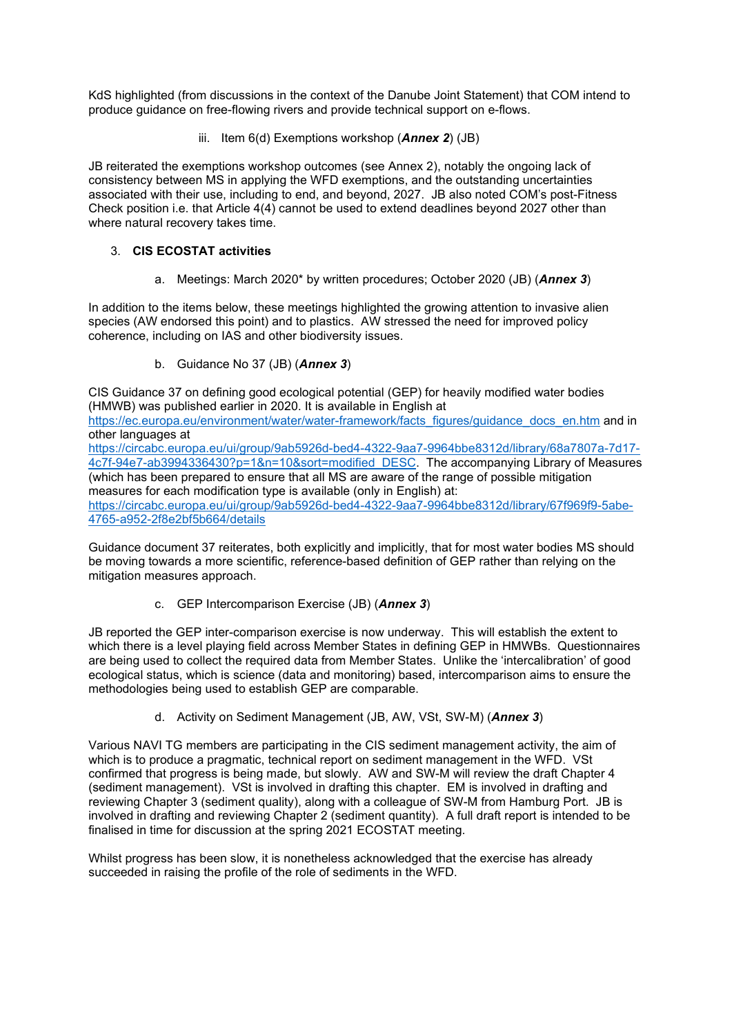KdS highlighted (from discussions in the context of the Danube Joint Statement) that COM intend to produce guidance on free-flowing rivers and provide technical support on e-flows.

iii. Item 6(d) Exemptions workshop (*Annex 2*) (JB)

JB reiterated the exemptions workshop outcomes (see Annex 2), notably the ongoing lack of consistency between MS in applying the WFD exemptions, and the outstanding uncertainties associated with their use, including to end, and beyond, 2027. JB also noted COM's post-Fitness Check position i.e. that Article 4(4) cannot be used to extend deadlines beyond 2027 other than where natural recovery takes time.

# 3. **CIS ECOSTAT activities**

a. Meetings: March 2020\* by written procedures; October 2020 (JB) (*Annex 3*)

In addition to the items below, these meetings highlighted the growing attention to invasive alien species (AW endorsed this point) and to plastics. AW stressed the need for improved policy coherence, including on IAS and other biodiversity issues.

b. Guidance No 37 (JB) (*Annex 3*)

CIS Guidance 37 on defining good ecological potential (GEP) for heavily modified water bodies (HMWB) was published earlier in 2020. It is available in English at

[https://ec.europa.eu/environment/water/water-framework/facts\\_figures/guidance\\_docs\\_en.htm](https://ec.europa.eu/environment/water/water-framework/facts_figures/guidance_docs_en.htm) and in other languages at

[https://circabc.europa.eu/ui/group/9ab5926d-bed4-4322-9aa7-9964bbe8312d/library/68a7807a-7d17-](https://circabc.europa.eu/ui/group/9ab5926d-bed4-4322-9aa7-9964bbe8312d/library/68a7807a-7d17-4c7f-94e7-ab3994336430?p=1&n=10&sort=modified_DESC) [4c7f-94e7-ab3994336430?p=1&n=10&sort=modified\\_DESC.](https://circabc.europa.eu/ui/group/9ab5926d-bed4-4322-9aa7-9964bbe8312d/library/68a7807a-7d17-4c7f-94e7-ab3994336430?p=1&n=10&sort=modified_DESC) The accompanying Library of Measures (which has been prepared to ensure that all MS are aware of the range of possible mitigation measures for each modification type is available (only in English) at: [https://circabc.europa.eu/ui/group/9ab5926d-bed4-4322-9aa7-9964bbe8312d/library/67f969f9-5abe-](https://circabc.europa.eu/ui/group/9ab5926d-bed4-4322-9aa7-9964bbe8312d/library/67f969f9-5abe-4765-a952-2f8e2bf5b664/details)[4765-a952-2f8e2bf5b664/details](https://circabc.europa.eu/ui/group/9ab5926d-bed4-4322-9aa7-9964bbe8312d/library/67f969f9-5abe-4765-a952-2f8e2bf5b664/details)

Guidance document 37 reiterates, both explicitly and implicitly, that for most water bodies MS should be moving towards a more scientific, reference-based definition of GEP rather than relying on the mitigation measures approach.

c. GEP Intercomparison Exercise (JB) (*Annex 3*)

JB reported the GEP inter-comparison exercise is now underway. This will establish the extent to which there is a level playing field across Member States in defining GEP in HMWBs. Questionnaires are being used to collect the required data from Member States. Unlike the 'intercalibration' of good ecological status, which is science (data and monitoring) based, intercomparison aims to ensure the methodologies being used to establish GEP are comparable.

d. Activity on Sediment Management (JB, AW, VSt, SW-M) (*Annex 3*)

Various NAVI TG members are participating in the CIS sediment management activity, the aim of which is to produce a pragmatic, technical report on sediment management in the WFD. VSt confirmed that progress is being made, but slowly. AW and SW-M will review the draft Chapter 4 (sediment management). VSt is involved in drafting this chapter. EM is involved in drafting and reviewing Chapter 3 (sediment quality), along with a colleague of SW-M from Hamburg Port. JB is involved in drafting and reviewing Chapter 2 (sediment quantity). A full draft report is intended to be finalised in time for discussion at the spring 2021 ECOSTAT meeting.

Whilst progress has been slow, it is nonetheless acknowledged that the exercise has already succeeded in raising the profile of the role of sediments in the WFD.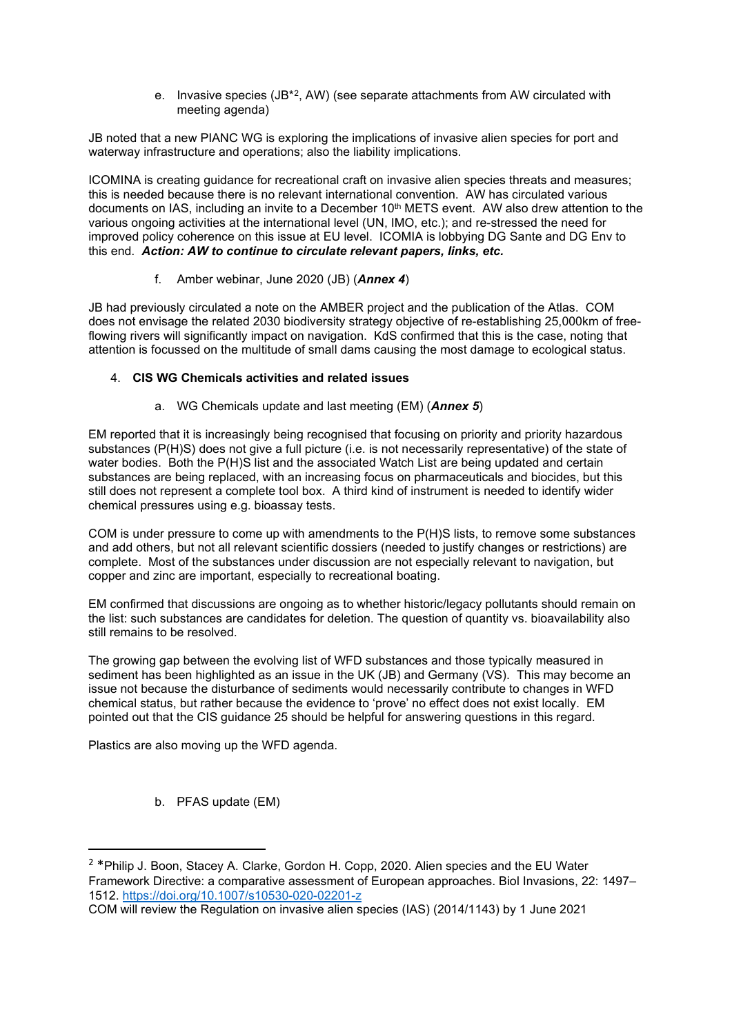e. Invasive species  $(JB^{*2}, AW)$  $(JB^{*2}, AW)$  $(JB^{*2}, AW)$  (see separate attachments from AW circulated with meeting agenda)

JB noted that a new PIANC WG is exploring the implications of invasive alien species for port and waterway infrastructure and operations; also the liability implications.

ICOMINA is creating guidance for recreational craft on invasive alien species threats and measures; this is needed because there is no relevant international convention. AW has circulated various documents on IAS, including an invite to a December 10<sup>th</sup> METS event. AW also drew attention to the various ongoing activities at the international level (UN, IMO, etc.); and re-stressed the need for improved policy coherence on this issue at EU level. ICOMIA is lobbying DG Sante and DG Env to this end. *Action: AW to continue to circulate relevant papers, links, etc.*

## f. Amber webinar, June 2020 (JB) (*Annex 4*)

JB had previously circulated a note on the AMBER project and the publication of the Atlas. COM does not envisage the related 2030 biodiversity strategy objective of re-establishing 25,000km of freeflowing rivers will significantly impact on navigation. KdS confirmed that this is the case, noting that attention is focussed on the multitude of small dams causing the most damage to ecological status.

### 4. **CIS WG Chemicals activities and related issues**

a. WG Chemicals update and last meeting (EM) (*Annex 5*)

EM reported that it is increasingly being recognised that focusing on priority and priority hazardous substances (P(H)S) does not give a full picture (i.e. is not necessarily representative) of the state of water bodies. Both the P(H)S list and the associated Watch List are being updated and certain substances are being replaced, with an increasing focus on pharmaceuticals and biocides, but this still does not represent a complete tool box. A third kind of instrument is needed to identify wider chemical pressures using e.g. bioassay tests.

COM is under pressure to come up with amendments to the P(H)S lists, to remove some substances and add others, but not all relevant scientific dossiers (needed to justify changes or restrictions) are complete. Most of the substances under discussion are not especially relevant to navigation, but copper and zinc are important, especially to recreational boating.

EM confirmed that discussions are ongoing as to whether historic/legacy pollutants should remain on the list: such substances are candidates for deletion. The question of quantity vs. bioavailability also still remains to be resolved.

The growing gap between the evolving list of WFD substances and those typically measured in sediment has been highlighted as an issue in the UK (JB) and Germany (VS). This may become an issue not because the disturbance of sediments would necessarily contribute to changes in WFD chemical status, but rather because the evidence to 'prove' no effect does not exist locally. EM pointed out that the CIS guidance 25 should be helpful for answering questions in this regard.

Plastics are also moving up the WFD agenda.

b. PFAS update (EM)

<span id="page-2-0"></span><sup>2</sup> \*Philip J. Boon, Stacey A. Clarke, Gordon H. Copp, 2020. Alien species and the EU Water Framework Directive: a comparative assessment of European approaches. Biol Invasions, 22: 1497– 1512.<https://doi.org/10.1007/s10530-020-02201-z>

COM will review the Regulation on invasive alien species (IAS) (2014/1143) by 1 June 2021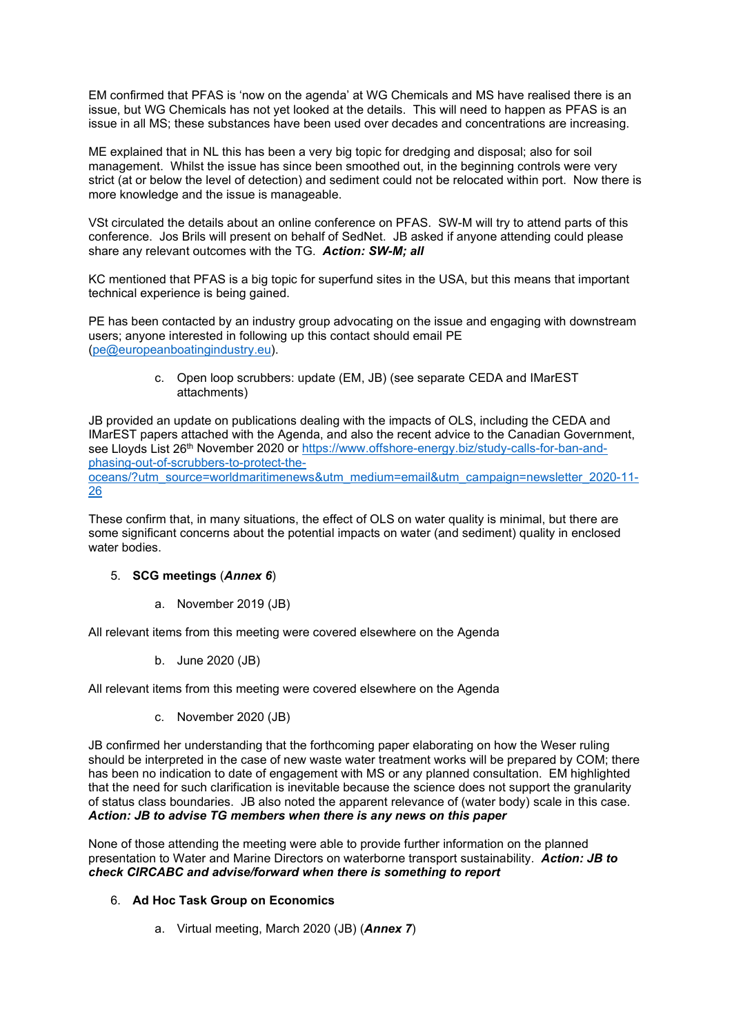EM confirmed that PFAS is 'now on the agenda' at WG Chemicals and MS have realised there is an issue, but WG Chemicals has not yet looked at the details. This will need to happen as PFAS is an issue in all MS; these substances have been used over decades and concentrations are increasing.

ME explained that in NL this has been a very big topic for dredging and disposal; also for soil management. Whilst the issue has since been smoothed out, in the beginning controls were very strict (at or below the level of detection) and sediment could not be relocated within port. Now there is more knowledge and the issue is manageable.

VSt circulated the details about an online conference on PFAS. SW-M will try to attend parts of this conference. Jos Brils will present on behalf of SedNet. JB asked if anyone attending could please share any relevant outcomes with the TG. *Action: SW-M; all*

KC mentioned that PFAS is a big topic for superfund sites in the USA, but this means that important technical experience is being gained.

PE has been contacted by an industry group advocating on the issue and engaging with downstream users; anyone interested in following up this contact should email PE [\(pe@europeanboatingindustry.eu\)](mailto:pe@europeanboatingindustry.eu).

> c. Open loop scrubbers: update (EM, JB) (see separate CEDA and IMarEST attachments)

JB provided an update on publications dealing with the impacts of OLS, including the CEDA and IMarEST papers attached with the Agenda, and also the recent advice to the Canadian Government, see Lloyds List 26<sup>th</sup> November 2020 or [https://www.offshore-energy.biz/study-calls-for-ban-and](https://www.offshore-energy.biz/study-calls-for-ban-and-phasing-out-of-scrubbers-to-protect-the-oceans/?utm_source=worldmaritimenews&utm_medium=email&utm_campaign=newsletter_2020-11-26)[phasing-out-of-scrubbers-to-protect-the](https://www.offshore-energy.biz/study-calls-for-ban-and-phasing-out-of-scrubbers-to-protect-the-oceans/?utm_source=worldmaritimenews&utm_medium=email&utm_campaign=newsletter_2020-11-26)[oceans/?utm\\_source=worldmaritimenews&utm\\_medium=email&utm\\_campaign=newsletter\\_2020-11-](https://www.offshore-energy.biz/study-calls-for-ban-and-phasing-out-of-scrubbers-to-protect-the-oceans/?utm_source=worldmaritimenews&utm_medium=email&utm_campaign=newsletter_2020-11-26)

[26](https://www.offshore-energy.biz/study-calls-for-ban-and-phasing-out-of-scrubbers-to-protect-the-oceans/?utm_source=worldmaritimenews&utm_medium=email&utm_campaign=newsletter_2020-11-26)

These confirm that, in many situations, the effect of OLS on water quality is minimal, but there are some significant concerns about the potential impacts on water (and sediment) quality in enclosed water bodies.

## 5. **SCG meetings** (*Annex 6*)

a. November 2019 (JB)

All relevant items from this meeting were covered elsewhere on the Agenda

b. June 2020 (JB)

All relevant items from this meeting were covered elsewhere on the Agenda

c. November 2020 (JB)

JB confirmed her understanding that the forthcoming paper elaborating on how the Weser ruling should be interpreted in the case of new waste water treatment works will be prepared by COM; there has been no indication to date of engagement with MS or any planned consultation. EM highlighted that the need for such clarification is inevitable because the science does not support the granularity of status class boundaries. JB also noted the apparent relevance of (water body) scale in this case. *Action: JB to advise TG members when there is any news on this paper*

None of those attending the meeting were able to provide further information on the planned presentation to Water and Marine Directors on waterborne transport sustainability. *Action: JB to check CIRCABC and advise/forward when there is something to report*

## 6. **Ad Hoc Task Group on Economics**

a. Virtual meeting, March 2020 (JB) (*Annex 7*)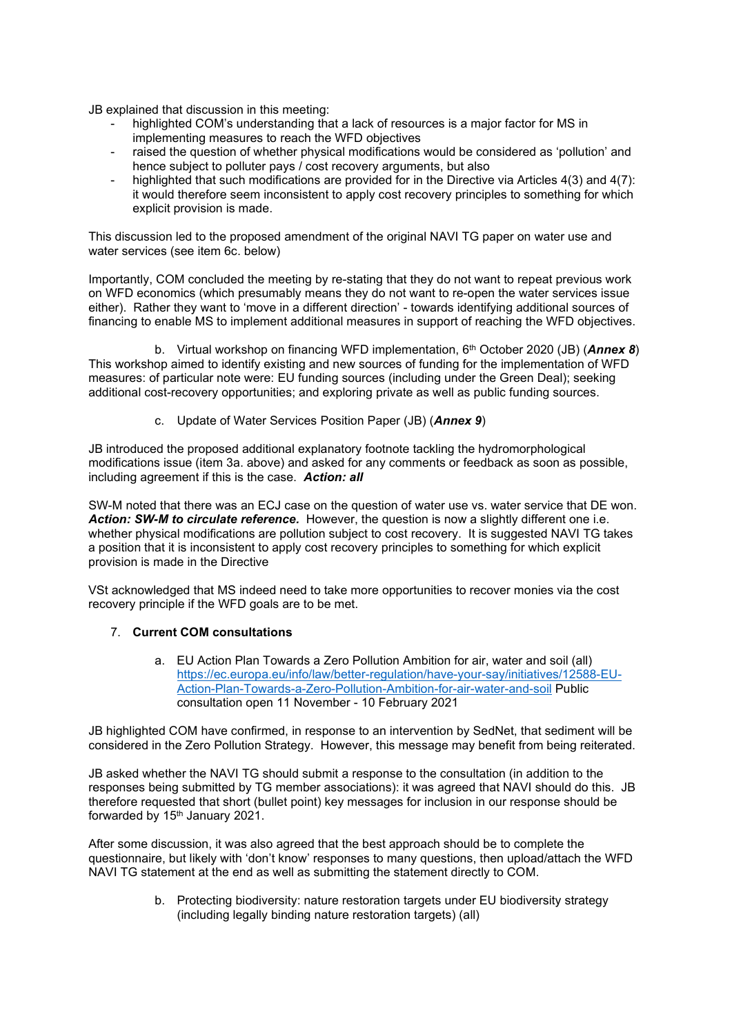JB explained that discussion in this meeting:

- highlighted COM's understanding that a lack of resources is a major factor for MS in implementing measures to reach the WFD objectives
- raised the question of whether physical modifications would be considered as 'pollution' and hence subject to polluter pays / cost recovery arguments, but also
- highlighted that such modifications are provided for in the Directive via Articles 4(3) and 4(7): it would therefore seem inconsistent to apply cost recovery principles to something for which explicit provision is made.

This discussion led to the proposed amendment of the original NAVI TG paper on water use and water services (see item 6c. below)

Importantly, COM concluded the meeting by re-stating that they do not want to repeat previous work on WFD economics (which presumably means they do not want to re-open the water services issue either). Rather they want to 'move in a different direction' - towards identifying additional sources of financing to enable MS to implement additional measures in support of reaching the WFD objectives.

b. Virtual workshop on financing WFD implementation, 6th October 2020 (JB) (*Annex 8*) This workshop aimed to identify existing and new sources of funding for the implementation of WFD measures: of particular note were: EU funding sources (including under the Green Deal); seeking additional cost-recovery opportunities; and exploring private as well as public funding sources.

c. Update of Water Services Position Paper (JB) (*Annex 9*)

JB introduced the proposed additional explanatory footnote tackling the hydromorphological modifications issue (item 3a. above) and asked for any comments or feedback as soon as possible, including agreement if this is the case. *Action: all*

SW-M noted that there was an ECJ case on the question of water use vs. water service that DE won. *Action: SW-M to circulate reference.* However, the question is now a slightly different one i.e. whether physical modifications are pollution subject to cost recovery. It is suggested NAVI TG takes a position that it is inconsistent to apply cost recovery principles to something for which explicit provision is made in the Directive

VSt acknowledged that MS indeed need to take more opportunities to recover monies via the cost recovery principle if the WFD goals are to be met.

# 7. **Current COM consultations**

a. EU Action Plan Towards a Zero Pollution Ambition for air, water and soil (all) [https://ec.europa.eu/info/law/better-regulation/have-your-say/initiatives/12588-EU-](https://ec.europa.eu/info/law/better-regulation/have-your-say/initiatives/12588-EU-Action-Plan-Towards-a-Zero-Pollution-Ambition-for-air-water-and-soil)[Action-Plan-Towards-a-Zero-Pollution-Ambition-for-air-water-and-soil](https://ec.europa.eu/info/law/better-regulation/have-your-say/initiatives/12588-EU-Action-Plan-Towards-a-Zero-Pollution-Ambition-for-air-water-and-soil) Public consultation open 11 November - 10 February 2021

JB highlighted COM have confirmed, in response to an intervention by SedNet, that sediment will be considered in the Zero Pollution Strategy. However, this message may benefit from being reiterated.

JB asked whether the NAVI TG should submit a response to the consultation (in addition to the responses being submitted by TG member associations): it was agreed that NAVI should do this. JB therefore requested that short (bullet point) key messages for inclusion in our response should be forwarded by  $15<sup>th</sup>$  January 2021.

After some discussion, it was also agreed that the best approach should be to complete the questionnaire, but likely with 'don't know' responses to many questions, then upload/attach the WFD NAVI TG statement at the end as well as submitting the statement directly to COM.

> b. Protecting biodiversity: nature restoration targets under EU biodiversity strategy (including legally binding nature restoration targets) (all)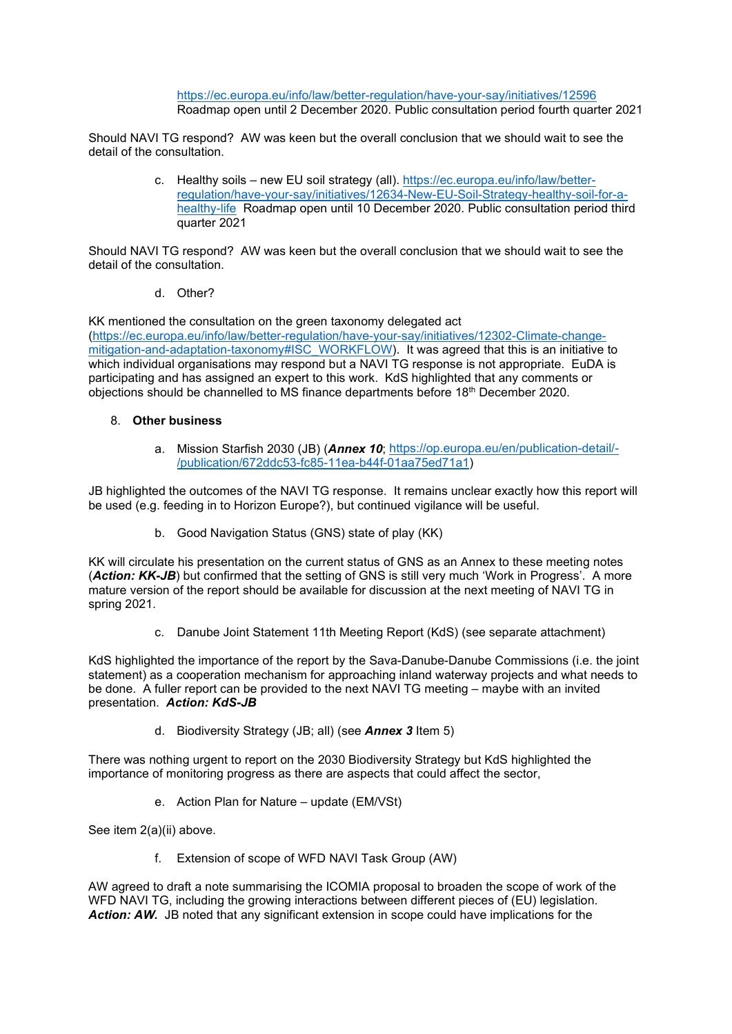<https://ec.europa.eu/info/law/better-regulation/have-your-say/initiatives/12596> Roadmap open until 2 December 2020. Public consultation period fourth quarter 2021

Should NAVI TG respond? AW was keen but the overall conclusion that we should wait to see the detail of the consultation.

> c. Healthy soils – new EU soil strategy (all). [https://ec.europa.eu/info/law/better](https://ec.europa.eu/info/law/better-regulation/have-your-say/initiatives/12634-New-EU-Soil-Strategy-healthy-soil-for-a-healthy-life)[regulation/have-your-say/initiatives/12634-New-EU-Soil-Strategy-healthy-soil-for-a](https://ec.europa.eu/info/law/better-regulation/have-your-say/initiatives/12634-New-EU-Soil-Strategy-healthy-soil-for-a-healthy-life)[healthy-life](https://ec.europa.eu/info/law/better-regulation/have-your-say/initiatives/12634-New-EU-Soil-Strategy-healthy-soil-for-a-healthy-life) Roadmap open until 10 December 2020. Public consultation period third quarter 2021

Should NAVI TG respond? AW was keen but the overall conclusion that we should wait to see the detail of the consultation.

d. Other?

KK mentioned the consultation on the green taxonomy delegated act

[\(https://ec.europa.eu/info/law/better-regulation/have-your-say/initiatives/12302-Climate-change](https://ec.europa.eu/info/law/better-regulation/have-your-say/initiatives/12302-Climate-change-mitigation-and-adaptation-taxonomy#ISC_WORKFLOW)[mitigation-and-adaptation-taxonomy#ISC\\_WORKFLOW\)](https://ec.europa.eu/info/law/better-regulation/have-your-say/initiatives/12302-Climate-change-mitigation-and-adaptation-taxonomy#ISC_WORKFLOW). It was agreed that this is an initiative to which individual organisations may respond but a NAVI TG response is not appropriate. EuDA is participating and has assigned an expert to this work. KdS highlighted that any comments or objections should be channelled to MS finance departments before 18th December 2020.

### 8. **Other business**

a. Mission Starfish 2030 (JB) (*Annex 10*; [https://op.europa.eu/en/publication-detail/-](https://op.europa.eu/en/publication-detail/-/publication/672ddc53-fc85-11ea-b44f-01aa75ed71a1) [/publication/672ddc53-fc85-11ea-b44f-01aa75ed71a1\)](https://op.europa.eu/en/publication-detail/-/publication/672ddc53-fc85-11ea-b44f-01aa75ed71a1)

JB highlighted the outcomes of the NAVI TG response. It remains unclear exactly how this report will be used (e.g. feeding in to Horizon Europe?), but continued vigilance will be useful.

b. Good Navigation Status (GNS) state of play (KK)

KK will circulate his presentation on the current status of GNS as an Annex to these meeting notes (*Action: KK-JB*) but confirmed that the setting of GNS is still very much 'Work in Progress'. A more mature version of the report should be available for discussion at the next meeting of NAVI TG in spring 2021.

c. Danube Joint Statement 11th Meeting Report (KdS) (see separate attachment)

KdS highlighted the importance of the report by the Sava-Danube-Danube Commissions (i.e. the joint statement) as a cooperation mechanism for approaching inland waterway projects and what needs to be done. A fuller report can be provided to the next NAVI TG meeting – maybe with an invited presentation. *Action: KdS-JB* 

d. Biodiversity Strategy (JB; all) (see *Annex 3* Item 5)

There was nothing urgent to report on the 2030 Biodiversity Strategy but KdS highlighted the importance of monitoring progress as there are aspects that could affect the sector,

e. Action Plan for Nature – update (EM/VSt)

See item 2(a)(ii) above.

f. Extension of scope of WFD NAVI Task Group (AW)

AW agreed to draft a note summarising the ICOMIA proposal to broaden the scope of work of the WFD NAVI TG, including the growing interactions between different pieces of (EU) legislation. Action: AW. JB noted that any significant extension in scope could have implications for the